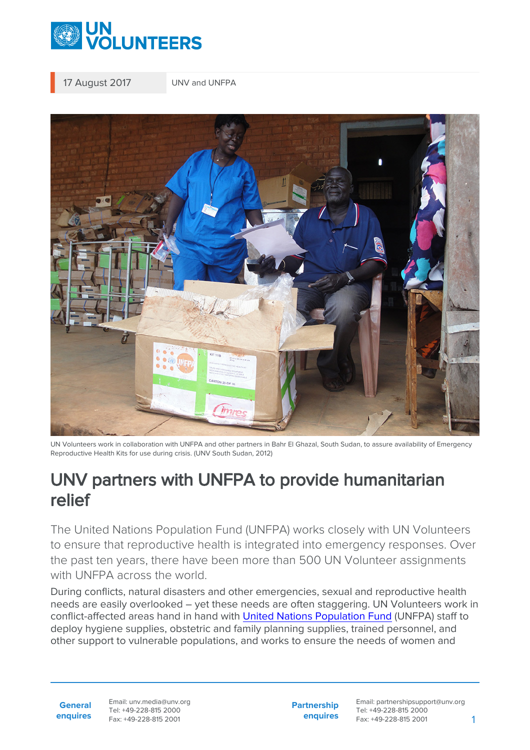

17 August 2017 UNV and UNFPA



UN Volunteers work in collaboration with UNFPA and other partners in Bahr El Ghazal, South Sudan, to assure availability of Emergency Reproductive Health Kits for use during crisis. (UNV South Sudan, 2012)

## UNV partners with UNFPA to provide humanitarian relief

The United Nations Population Fund (UNFPA) works closely with UN Volunteers to ensure that reproductive health is integrated into emergency responses. Over the past ten years, there have been more than 500 UN Volunteer assignments with UNFPA across the world.

During conflicts, natural disasters and other emergencies, sexual and reproductive health needs are easily overlooked – yet these needs are often staggering. UN Volunteers work in conflict-affected areas hand in hand with [United Nations Population Fund](https://www.unfpa.org/) (UNFPA) staff to deploy hygiene supplies, obstetric and family planning supplies, trained personnel, and other support to vulnerable populations, and works to ensure the needs of women and

**General enquires** Email: unv.media@unv.org Tel: +49-228-815 2000 Fax: +49-228-815 2001

**Partnership enquires** Email: partnershipsupport@unv.org Tel: +49-228-815 2000 Fax: +49-228-815 2001 1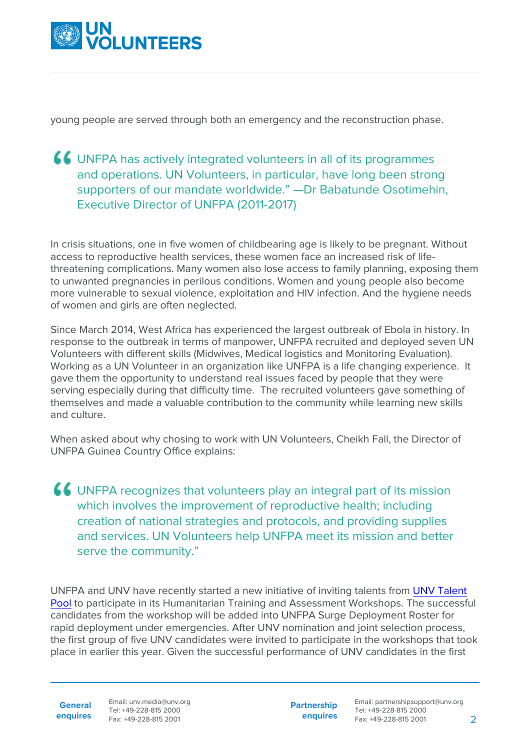

young people are served through both an emergency and the reconstruction phase.

## UNFPA has actively integrated volunteers in all of its programmes and operations. UN Volunteers, in particular, have long been strong supporters of our mandate worldwide." —Dr Babatunde Osotimehin, Executive Director of UNFPA (2011-2017)

In crisis situations, one in five women of childbearing age is likely to be pregnant. Without access to reproductive health services, these women face an increased risk of lifethreatening complications. Many women also lose access to family planning, exposing them to unwanted pregnancies in perilous conditions. Women and young people also become more vulnerable to sexual violence, exploitation and HIV infection. And the hygiene needs of women and girls are often neglected.

Since March 2014, West Africa has experienced the largest outbreak of Ebola in history. In response to the outbreak in terms of manpower, UNFPA recruited and deployed seven UN Volunteers with different skills (Midwives, Medical logistics and Monitoring Evaluation). Working as a UN Volunteer in an organization like UNFPA is a life changing experience. It gave them the opportunity to understand real issues faced by people that they were serving especially during that difficulty time. The recruited volunteers gave something of themselves and made a valuable contribution to the community while learning new skills and culture.

When asked about why chosing to work with UN Volunteers, Cheikh Fall, the Director of UNFPA Guinea Country Office explains:

UNFPA recognizes that volunteers play an integral part of its mission which involves the improvement of reproductive health; including creation of national strategies and protocols, and providing supplies and services. UN Volunteers help UNFPA meet its mission and better serve the community."

UNFPA and UNV have recently started a new initiative of inviting talents from [UNV Talent](https://www.unv.org/become-volunteer) [Pool](https://www.unv.org/become-volunteer) to participate in its Humanitarian Training and Assessment Workshops. The successful candidates from the workshop will be added into UNFPA Surge Deployment Roster for rapid deployment under emergencies. After UNV nomination and joint selection process, the first group of five UNV candidates were invited to participate in the workshops that took place in earlier this year. Given the successful performance of UNV candidates in the first

**General**

**enquires** Tel: +49-228-815 2000 Fax: +49-228-815 2001 Email: unv.media@unv.org<br>Tel: +49-228-815 2000

**Partnership enquires**

Email: partnershipsupport@unv.org Tel: +49-228-815 2000 Fax: +49-228-815 2001 2